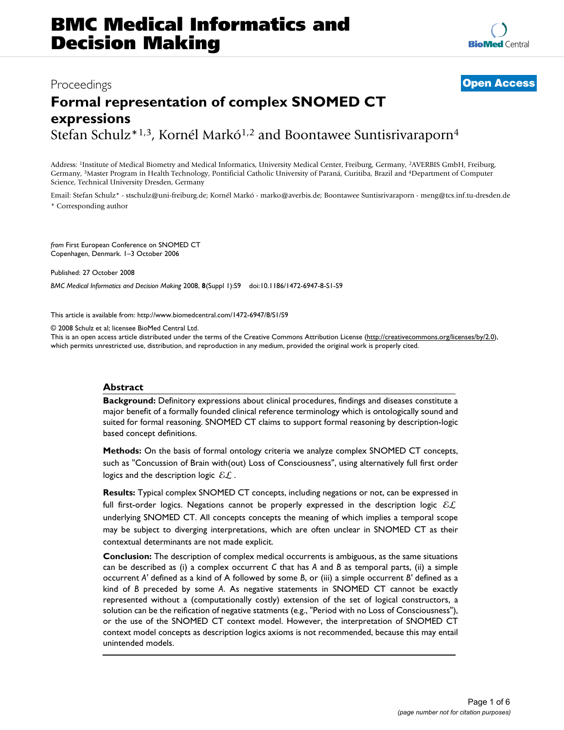# Proceedings **[Open Access](http://www.biomedcentral.com/info/about/charter/)**

# **Formal representation of complex SNOMED CT expressions** Stefan Schulz\*<sup>1,3</sup>, Kornél Markó<sup>1,2</sup> and Boontawee Suntisrivaraporn<sup>4</sup>

Address: 1Institute of Medical Biometry and Medical Informatics, University Medical Center, Freiburg, Germany, 2AVERBIS GmbH, Freiburg, Germany, 3Master Program in Health Technology, Pontificial Catholic University of Paraná, Curitiba, Brazil and 4Department of Computer Science, Technical University Dresden, Germany

Email: Stefan Schulz\* - stschulz@uni-freiburg.de; Kornél Markó - marko@averbis.de; Boontawee Suntisrivaraporn - meng@tcs.inf.tu-dresden.de \* Corresponding author

*from* First European Conference on SNOMED CT Copenhagen, Denmark. 1–3 October 2006

Published: 27 October 2008

*BMC Medical Informatics and Decision Making* 2008, **8**(Suppl 1):S9 doi:10.1186/1472-6947-8-S1-S9

[This article is available from: http://www.biomedcentral.com/1472-6947/8/S1/S9](http://www.biomedcentral.com/1472-6947/8/S1/S9)

© 2008 Schulz et al; licensee BioMed Central Ltd.

This is an open access article distributed under the terms of the Creative Commons Attribution License [\(http://creativecommons.org/licenses/by/2.0\)](http://creativecommons.org/licenses/by/2.0), which permits unrestricted use, distribution, and reproduction in any medium, provided the original work is properly cited.

#### **Abstract**

**Background:** Definitory expressions about clinical procedures, findings and diseases constitute a major benefit of a formally founded clinical reference terminology which is ontologically sound and suited for formal reasoning. SNOMED CT claims to support formal reasoning by description-logic based concept definitions.

**Methods:** On the basis of formal ontology criteria we analyze complex SNOMED CT concepts, such as "Concussion of Brain with(out) Loss of Consciousness", using alternatively full first order logics and the description logic  $\mathcal{EL}$  .

**Results:** Typical complex SNOMED CT concepts, including negations or not, can be expressed in full first-order logics. Negations cannot be properly expressed in the description logic  $\mathcal{EL}$ underlying SNOMED CT. All concepts concepts the meaning of which implies a temporal scope may be subject to diverging interpretations, which are often unclear in SNOMED CT as their contextual determinants are not made explicit.

**Conclusion:** The description of complex medical occurrents is ambiguous, as the same situations can be described as (i) a complex occurrent *C* that has *A* and *B* as temporal parts, (ii) a simple occurrent *A'* defined as a kind of A followed by some *B*, or (iii) a simple occurrent *B'* defined as a kind of *B* preceded by some *A*. As negative statements in SNOMED CT cannot be exactly represented without a (computationally costly) extension of the set of logical constructors, a solution can be the reification of negative statments (e.g., "Period with no Loss of Consciousness"), or the use of the SNOMED CT context model. However, the interpretation of SNOMED CT context model concepts as description logics axioms is not recommended, because this may entail unintended models.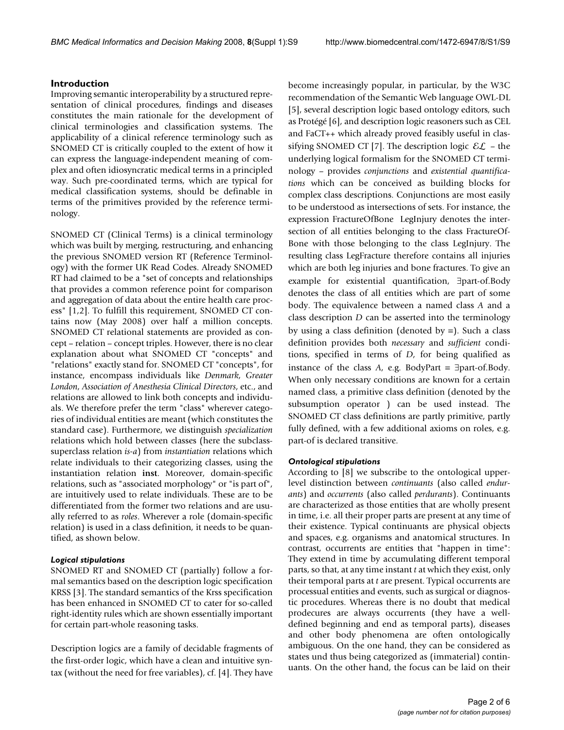# **Introduction**

Improving semantic interoperability by a structured representation of clinical procedures, findings and diseases constitutes the main rationale for the development of clinical terminologies and classification systems. The applicability of a clinical reference terminology such as SNOMED CT is critically coupled to the extent of how it can express the language-independent meaning of complex and often idiosyncratic medical terms in a principled way. Such pre-coordinated terms, which are typical for medical classification systems, should be definable in terms of the primitives provided by the reference terminology.

SNOMED CT (Clinical Terms) is a clinical terminology which was built by merging, restructuring, and enhancing the previous SNOMED version RT (Reference Terminology) with the former UK Read Codes. Already SNOMED RT had claimed to be a "set of concepts and relationships that provides a common reference point for comparison and aggregation of data about the entire health care process" [1,2]. To fulfill this requirement, SNOMED CT contains now (May 2008) over half a million concepts. SNOMED CT relational statements are provided as concept – relation – concept triples. However, there is no clear explanation about what SNOMED CT "concepts" and "relations" exactly stand for. SNOMED CT "concepts", for instance, encompass individuals like *Denmark*, *Greater London*, *Association of Anesthesia Clinical Directors*, etc., and relations are allowed to link both concepts and individuals. We therefore prefer the term "class" wherever categories of individual entities are meant (which constitutes the standard case). Furthermore, we distinguish *specialization* relations which hold between classes (here the subclasssuperclass relation *is-a*) from *instantiation* relations which relate individuals to their categorizing classes, using the instantiation relation **inst**. Moreover, domain-specific relations, such as "associated morphology" or "is part of", are intuitively used to relate individuals. These are to be differentiated from the former two relations and are usually referred to as *roles*. Wherever a role (domain-specific relation) is used in a class definition, it needs to be quantified, as shown below.

# *Logical stipulations*

SNOMED RT and SNOMED CT (partially) follow a formal semantics based on the description logic specification KRSS [3]. The standard semantics of the Krss specification has been enhanced in SNOMED CT to cater for so-called right-identity rules which are shown essentially important for certain part-whole reasoning tasks.

Description logics are a family of decidable fragments of the first-order logic, which have a clean and intuitive syntax (without the need for free variables), cf. [4]. They have become increasingly popular, in particular, by the W3C recommendation of the Semantic Web language OWL-DL [5], several description logic based ontology editors, such as Protégé [6], and description logic reasoners such as CEL and FaCT++ which already proved feasibly useful in classifying SNOMED CT [7]. The description logic  $\mathcal{EL}$  – the underlying logical formalism for the SNOMED CT terminology – provides *conjunctions* and *existential quantifications* which can be conceived as building blocks for complex class descriptions. Conjunctions are most easily to be understood as intersections of sets. For instance, the expression FractureOfBone LegInjury denotes the intersection of all entities belonging to the class FractureOf-Bone with those belonging to the class LegInjury. The resulting class LegFracture therefore contains all injuries which are both leg injuries and bone fractures. To give an example for existential quantification, ∃part-of.Body denotes the class of all entities which are part of some body. The equivalence between a named class *A* and a class description *D* can be asserted into the terminology by using a class definition (denoted by ≡). Such a class definition provides both *necessary* and *sufficient* conditions, specified in terms of *D*, for being qualified as instance of the class *A*, e.g. BodyPart  $\equiv \exists$ part-of.Body. When only necessary conditions are known for a certain named class, a primitive class definition (denoted by the subsumption operator ) can be used instead. The SNOMED CT class definitions are partly primitive, partly fully defined, with a few additional axioms on roles, e.g. part-of is declared transitive.

#### *Ontological stipulations*

According to [8] we subscribe to the ontological upperlevel distinction between *continuants* (also called *endurants*) and *occurrents* (also called *perdurants*). Continuants are characterized as those entities that are wholly present in time, i.e. all their proper parts are present at any time of their existence. Typical continuants are physical objects and spaces, e.g. organisms and anatomical structures. In contrast, occurrents are entities that "happen in time": They extend in time by accumulating different temporal parts, so that, at any time instant *t* at which they exist, only their temporal parts at *t* are present. Typical occurrents are processual entities and events, such as surgical or diagnostic procedures. Whereas there is no doubt that medical prodecures are always occurrents (they have a welldefined beginning and end as temporal parts), diseases and other body phenomena are often ontologically ambiguous. On the one hand, they can be considered as states und thus being categorized as (immaterial) continuants. On the other hand, the focus can be laid on their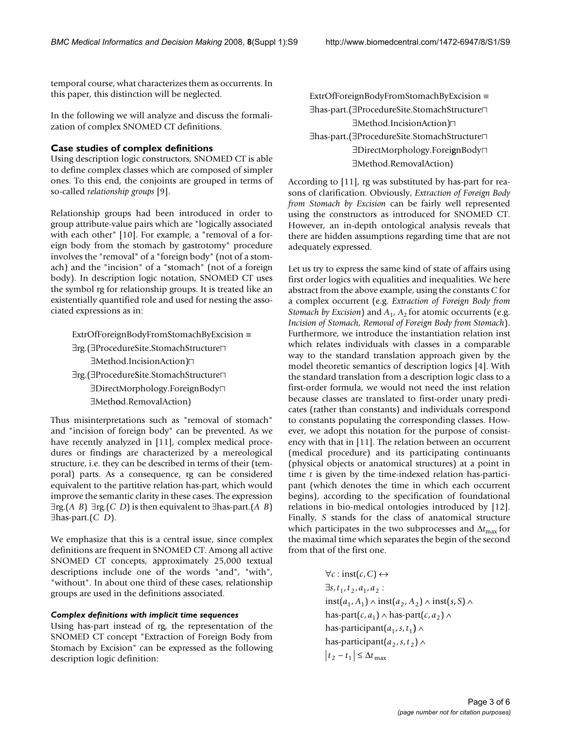temporal course, what characterizes them as occurrents. In this paper, this distinction will be neglected.

In the following we will analyze and discuss the formalization of complex SNOMED CT definitions.

# **Case studies of complex definitions**

Using description logic constructors, SNOMED CT is able to define complex classes which are composed of simpler ones. To this end, the conjoints are grouped in terms of so-called *relationship groups* [9].

Relationship groups had been introduced in order to group attribute-value pairs which are "logically associated with each other" [10]. For example, a "removal of a foreign body from the stomach by gastrotomy" procedure involves the "removal" of a "foreign body" (not of a stomach) and the "incision" of a "stomach" (not of a foreign body). In description logic notation, SNOMED CT uses the symbol rg for relationship groups. It is treated like an existentially quantified role and used for nesting the associated expressions as in:

ExtrOfForeignBodyFromStomachByExcision ≡ ∃rg.(∃ProcedureSite.StomachStructure⊓ ∃Method.IncisionAction)⊓ ∃rg.(∃ProcedureSite.StomachStructure⊓ ∃DirectMorphology.ForeignBody⊓ ∃Method.RemovalAction)

Thus misinterpretations such as "removal of stomach" and "incision of foreign body" can be prevented. As we have recently analyzed in [11], complex medical procedures or findings are characterized by a mereological structure, i.e. they can be described in terms of their (temporal) parts. As a consequence, rg can be considered equivalent to the partitive relation has-part, which would improve the semantic clarity in these cases. The expression ∃rg.(*A B*) ∃rg.(*C D*) is then equivalent to ∃has-part.(*A B*) ∃has-part.(*C D*).

We emphasize that this is a central issue, since complex definitions are frequent in SNOMED CT. Among all active SNOMED CT concepts, approximately 25,000 textual descriptions include one of the words "and", "with", "without". In about one third of these cases, relationship groups are used in the definitions associated.

#### *Complex definitions with implicit time sequences*

Using has-part instead of rg, the representation of the SNOMED CT concept "Extraction of Foreign Body from Stomach by Excision" can be expressed as the following description logic definition:

ExtrOfForeignBodyFromStomachByExcision ≡ ∃has-part.(∃ProcedureSite.StomachStructure⊓ ∃Method.IncisionAction)⊓ ∃has-part.(∃ProcedureSite.StomachStructure⊓ ∃ DirectMorphology.Forei gnBody \* ∃Method.RemovalAction)

According to [11], rg was substituted by has-part for reasons of clarification. Obviously, *Extraction of Foreign Body from Stomach by Excision* can be fairly well represented using the constructors as introduced for SNOMED CT. However, an in-depth ontological analysis reveals that there are hidden assumptions regarding time that are not adequately expressed.

Let us try to express the same kind of state of affairs using first order logics with equalities and inequalities. We here abstract from the above example, using the constants *C* for a complex occurrent (e.g. *Extraction of Foreign Body from Stomach by Excision*) and  $A_1$ ,  $A_2$  for atomic occurrents (e.g. *Incision of Stomach, Removal of Foreign Body from Stomach*). Furthermore, we introduce the instantiation relation inst which relates individuals with classes in a comparable way to the standard translation approach given by the model theoretic semantics of description logics [4]. With the standard translation from a description logic class to a first-order formula, we would not need the inst relation because classes are translated to first-order unary predicates (rather than constants) and individuals correspond to constants populating the corresponding classes. However, we adopt this notation for the purpose of consistency with that in [11]. The relation between an occurrent (medical procedure) and its participating continuants (physical objects or anatomical structures) at a point in time *t* is given by the time-indexed relation has-participant (which denotes the time in which each occurrent begins), according to the specification of foundational relations in bio-medical ontologies introduced by [12]. Finally, *S* stands for the class of anatomical structure which participates in the two subprocesses and Δ*t*<sub>max</sub> for the maximal time which separates the begin of the second from that of the first one.

> $\forall c : \text{inst}(c, C) \leftrightarrow$  $\exists s, t_1, t_2, a_1, a_2:$  $\text{inst}(a_1, A_1) \wedge \text{inst}(a_2, A_2) \wedge \text{inst}(s, S) \wedge$ has-part $(c, a_1) \wedge$  has-part $(c, a_2) \wedge$ has-participant $(a_1, s, t_1) \wedge$ has-participant $(a_2, s, t_2)$   $\wedge$  $t_2 - t_1 \leq \Delta t_{\text{max}}$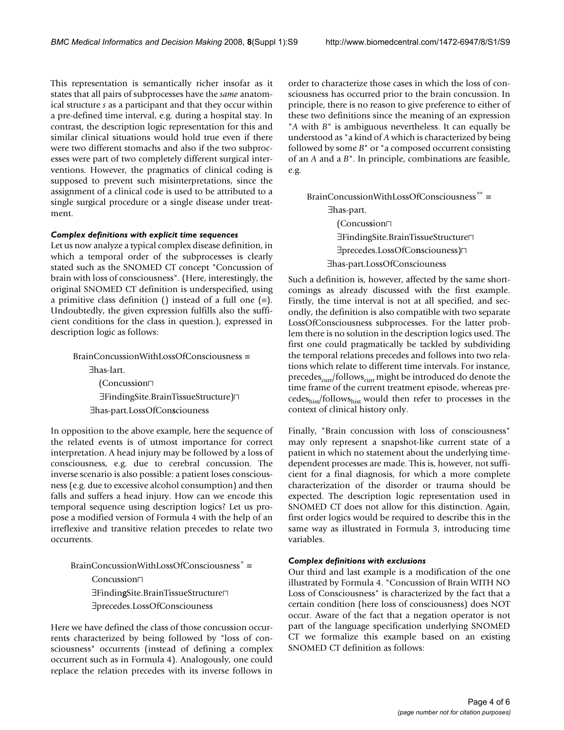This representation is semantically richer insofar as it states that all pairs of subprocesses have the *same* anatomical structure *s* as a participant and that they occur within a pre-defined time interval, e.g. during a hospital stay. In contrast, the description logic representation for this and similar clinical situations would hold true even if there were two different stomachs and also if the two subprocesses were part of two completely different surgical interventions. However, the pragmatics of clinical coding is supposed to prevent such misinterpretations, since the assignment of a clinical code is used to be attributed to a single surgical procedure or a single disease under treatment.

#### *Complex definitions with explicit time sequences*

Let us now analyze a typical complex disease definition, in which a temporal order of the subprocesses is clearly stated such as the SNOMED CT concept "Concussion of brain with loss of consciousness". (Here, interestingly, the original SNOMED CT definition is underspecified, using a primitive class definition () instead of a full one  $(\equiv)$ . Undoubtedly, the given expression fulfills also the sufficient conditions for the class in question.), expressed in description logic as follows:

> BrainConcussionWithLossOfConsciousness ≡ ∃has-lart. (Concussion⊓ ∃FindingSite.BrainTissueStructure)⊓ ∃has-part.LossOfConsciouness

In opposition to the above example, here the sequence of the related events is of utmost importance for correct interpretation. A head injury may be followed by a loss of consciousness, e.g. due to cerebral concussion. The inverse scenario is also possible: a patient loses consciousness (e.g. due to excessive alcohol consumption) and then falls and suffers a head injury. How can we encode this temporal sequence using description logics? Let us propose a modified version of Formula 4 with the help of an irreflexive and transitive relation precedes to relate two occurrents.

BrainConcussionWithLossOfConsciousness <sup>∗</sup> ≡ Concussion⊓ ∃FindingSite.BrainTissueStructure⊓ precedes.LossOfConsciouness ∃

Here we have defined the class of those concussion occurrents characterized by being followed by "loss of consciousness" occurrents (instead of defining a complex occurrent such as in Formula 4). Analogously, one could replace the relation precedes with its inverse follows in order to characterize those cases in which the loss of consciousness has occurred prior to the brain concussion. In principle, there is no reason to give preference to either of these two definitions since the meaning of an expression "*A* with *B*" is ambiguous nevertheless. It can equally be understood as "a kind of *A* which is characterized by being followed by some *B*" or "a composed occurrent consisting of an *A* and a *B*". In principle, combinations are feasible, e.g.

BrainConcussionWithLossOfConsciousness ∗∗ ≡ ∃has-part. (Concussion⊓ ∃FindingSite.BrainTissueStructure⊓ ∃precedes.LossOfConsciouness)⊓ has-part.LossOfConsciouness ∃

Such a definition is, however, affected by the same shortcomings as already discussed with the first example. Firstly, the time interval is not at all specified, and secondly, the definition is also compatible with two separate LossOfConsciousness subprocesses. For the latter problem there is no solution in the description logics used. The first one could pragmatically be tackled by subdividing the temporal relations precedes and follows into two relations which relate to different time intervals. For instance, precedes<sub>curr</sub>/follows<sub>curr</sub> might be introduced do denote the time frame of the current treatment episode, whereas precedes<sub>hist</sub>/follows<sub>hist</sub> would then refer to processes in the context of clinical history only.

Finally, "Brain concussion with loss of consciousness" may only represent a snapshot-like current state of a patient in which no statement about the underlying timedependent processes are made. This is, however, not sufficient for a final diagnosis, for which a more complete characterization of the disorder or trauma should be expected. The description logic representation used in SNOMED CT does not allow for this distinction. Again, first order logics would be required to describe this in the same way as illustrated in Formula 3, introducing time variables.

#### *Complex definitions with exclusions*

Our third and last example is a modification of the one illustrated by Formula 4. "Concussion of Brain WITH NO Loss of Consciousness" is characterized by the fact that a certain condition (here loss of consciousness) does NOT occur. Aware of the fact that a negation operator is not part of the language specification underlying SNOMED CT we formalize this example based on an existing SNOMED CT definition as follows: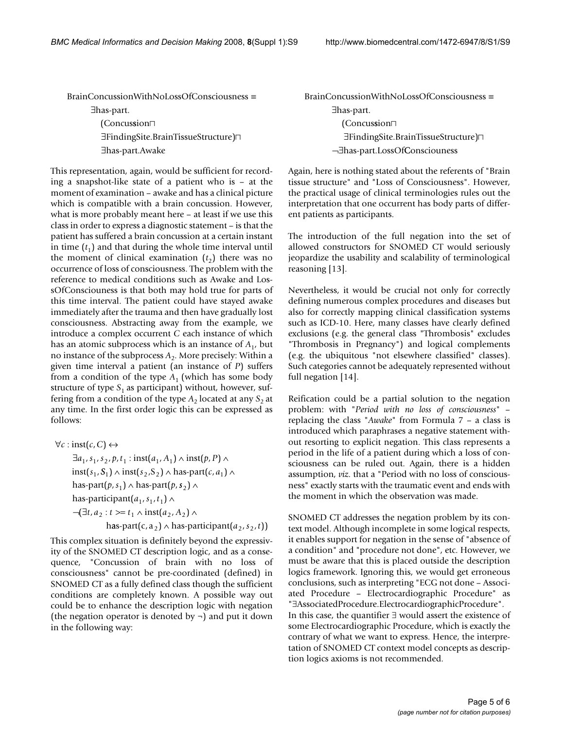BrainConcussionWithNoLossOfConsciousness ≡

∃has-part. (Concussion⊓ ∃FindingSite.BrainTissueStructure)⊓ has-part.Awake ∃

This representation, again, would be sufficient for recording a snapshot-like state of a patient who is – at the moment of examination – awake and has a clinical picture which is compatible with a brain concussion. However, what is more probably meant here – at least if we use this class in order to express a diagnostic statement – is that the patient has suffered a brain concussion at a certain instant in time  $(t_1)$  and that during the whole time interval until the moment of clinical examination  $(t<sub>2</sub>)$  there was no occurrence of loss of consciousness. The problem with the reference to medical conditions such as Awake and LossOfConsciouness is that both may hold true for parts of this time interval. The patient could have stayed awake immediately after the trauma and then have gradually lost consciousness. Abstracting away from the example, we introduce a complex occurrent *C* each instance of which has an atomic subprocess which is an instance of  $A_{1}$ , but no instance of the subprocess  $A_2$ . More precisely: Within a given time interval a patient (an instance of *P*) suffers from a condition of the type  $A_1$  (which has some body structure of type  $S_1$  as participant) without, however, suffering from a condition of the type  $A_2$  located at any  $S_2$  at any time. In the first order logic this can be expressed as follows:

$$
\forall c : \text{inst}(c, C) \leftrightarrow
$$
  
\n
$$
\exists a_1, s_1, s_2, p, t_1 : \text{inst}(a_1, A_1) \land \text{inst}(p, P) \land
$$
  
\n
$$
\text{inst}(s_1, S_1) \land \text{inst}(s_2, S_2) \land \text{has-part}(c, a_1) \land
$$
  
\nhas-part}(p, s\_1) \land \text{has-part}(p, s\_2) \land  
\nhas-participant( $a_1, s_1, t_1$ )  $\land$   
\n
$$
\neg(\exists t, a_2 : t \geq t_1 \land \text{inst}(a_2, A_2) \land
$$
  
\nhas-part(c, a<sub>2</sub>)  $\land$ has-participant( $a_2, s_2, t$ )

This complex situation is definitely beyond the expressivity of the SNOMED CT description logic, and as a consequence, "Concussion of brain with no loss of consciousness" cannot be pre-coordinated (defined) in SNOMED CT as a fully defined class though the sufficient conditions are completely known. A possible way out could be to enhance the description logic with negation (the negation operator is denoted by  $\neg$ ) and put it down in the following way:

BrainConcussionWithNoLossOfConsciousness ≡ ∃has-part. (Concussion⊓ ∃FindingSite.BrainTissueStructure)⊓ ¬∃has-part.LossOfConsciouness

Again, here is nothing stated about the referents of "Brain tissue structure" and "Loss of Consciousness". However, the practical usage of clinical terminologies rules out the interpretation that one occurrent has body parts of different patients as participants.

The introduction of the full negation into the set of allowed constructors for SNOMED CT would seriously jeopardize the usability and scalability of terminological reasoning [13].

Nevertheless, it would be crucial not only for correctly defining numerous complex procedures and diseases but also for correctly mapping clinical classification systems such as ICD-10. Here, many classes have clearly defined exclusions (e.g. the general class "Thrombosis" excludes "Thrombosis in Pregnancy") and logical complements (e.g. the ubiquitous "not elsewhere classified" classes). Such categories cannot be adequately represented without full negation [14].

Reification could be a partial solution to the negation problem: with "*Period with no loss of consciousness*" – replacing the class "*Awake*" from Formula 7 – a class is introduced which paraphrases a negative statement without resorting to explicit negation. This class represents a period in the life of a patient during which a loss of consciousness can be ruled out. Again, there is a hidden assumption, *viz*. that a "Period with no loss of consciousness" exactly starts with the traumatic event and ends with the moment in which the observation was made.

SNOMED CT addresses the negation problem by its context model. Although incomplete in some logical respects, it enables support for negation in the sense of "absence of a condition" and "procedure not done", etc. However, we must be aware that this is placed outside the description logics framework. Ignoring this, we would get erroneous conclusions, such as interpreting "ECG not done – Associated Procedure – Electrocardiographic Procedure" as "∃AssociatedProcedure.ElectrocardiographicProcedure". In this case, the quantifier ∃ would assert the existence of some Electrocardiographic Procedure, which is exactly the contrary of what we want to express. Hence, the interpretation of SNOMED CT context model concepts as description logics axioms is not recommended.